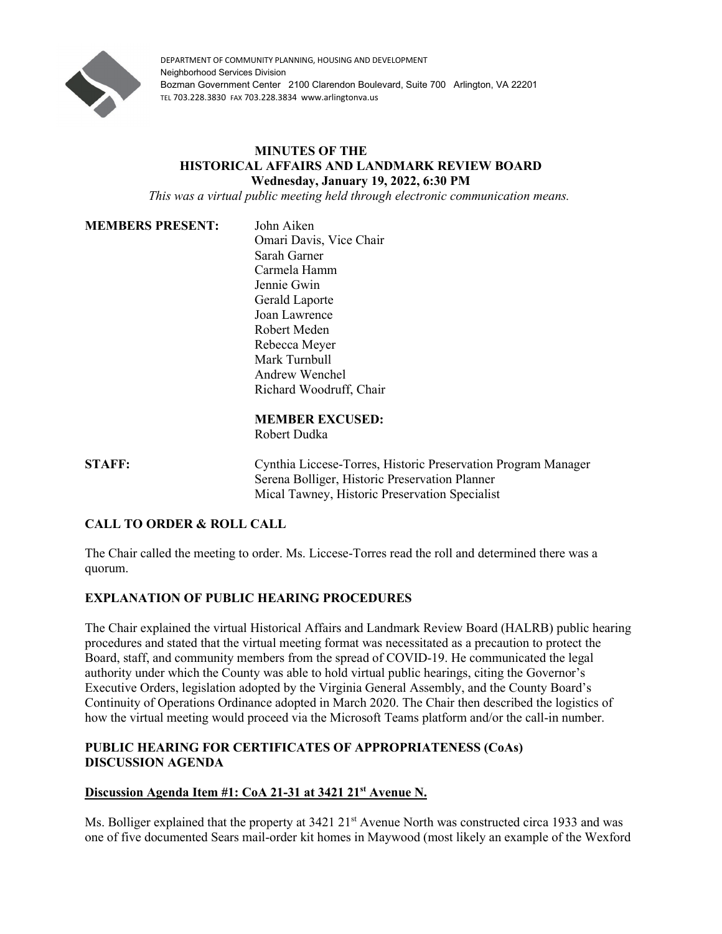

DEPARTMENT OF COMMUNITY PLANNING, HOUSING AND DEVELOPMENT Neighborhood Services Division Bozman Government Center 2100 Clarendon Boulevard, Suite 700 Arlington, VA 22201 TEL 703.228.3830 FAX 703.228.3834 www.arlingtonva.us

# **MINUTES OF THE HISTORICAL AFFAIRS AND LANDMARK REVIEW BOARD Wednesday, January 19, 2022, 6:30 PM**

*This was a virtual public meeting held through electronic communication means.*

#### **MEMBERS PRESENT:** John Aiken

Omari Davis, Vice Chair Sarah Garner Carmela Hamm Jennie Gwin Gerald Laporte Joan Lawrence Robert Meden Rebecca Meyer Mark Turnbull Andrew Wenchel Richard Woodruff, Chair

# **MEMBER EXCUSED:**

Robert Dudka

**STAFF:** Cynthia Liccese-Torres, Historic Preservation Program Manager Serena Bolliger, Historic Preservation Planner Mical Tawney, Historic Preservation Specialist

# **CALL TO ORDER & ROLL CALL**

The Chair called the meeting to order. Ms. Liccese-Torres read the roll and determined there was a quorum.

# **EXPLANATION OF PUBLIC HEARING PROCEDURES**

The Chair explained the virtual Historical Affairs and Landmark Review Board (HALRB) public hearing procedures and stated that the virtual meeting format was necessitated as a precaution to protect the Board, staff, and community members from the spread of COVID-19. He communicated the legal authority under which the County was able to hold virtual public hearings, citing the Governor's Executive Orders, legislation adopted by the Virginia General Assembly, and the County Board's Continuity of Operations Ordinance adopted in March 2020. The Chair then described the logistics of how the virtual meeting would proceed via the Microsoft Teams platform and/or the call-in number.

# **PUBLIC HEARING FOR CERTIFICATES OF APPROPRIATENESS (CoAs) DISCUSSION AGENDA**

# **Discussion Agenda Item #1: CoA 21-31 at 3421 21st Avenue N.**

Ms. Bolliger explained that the property at 3421 21<sup>st</sup> Avenue North was constructed circa 1933 and was one of five documented Sears mail-order kit homes in Maywood (most likely an example of the Wexford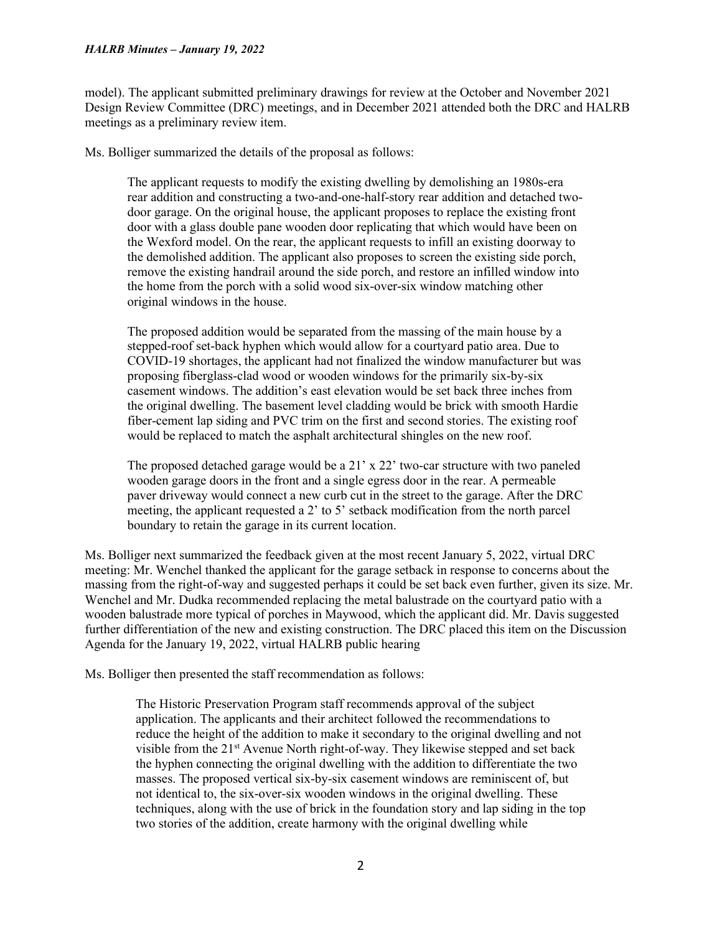#### *HALRB Minutes – January 19, 2022*

model). The applicant submitted preliminary drawings for review at the October and November 2021 Design Review Committee (DRC) meetings, and in December 2021 attended both the DRC and HALRB meetings as a preliminary review item.

Ms. Bolliger summarized the details of the proposal as follows:

The applicant requests to modify the existing dwelling by demolishing an 1980s-era rear addition and constructing a two-and-one-half-story rear addition and detached twodoor garage. On the original house, the applicant proposes to replace the existing front door with a glass double pane wooden door replicating that which would have been on the Wexford model. On the rear, the applicant requests to infill an existing doorway to the demolished addition. The applicant also proposes to screen the existing side porch, remove the existing handrail around the side porch, and restore an infilled window into the home from the porch with a solid wood six-over-six window matching other original windows in the house.

The proposed addition would be separated from the massing of the main house by a stepped-roof set-back hyphen which would allow for a courtyard patio area. Due to COVID-19 shortages, the applicant had not finalized the window manufacturer but was proposing fiberglass-clad wood or wooden windows for the primarily six-by-six casement windows. The addition's east elevation would be set back three inches from the original dwelling. The basement level cladding would be brick with smooth Hardie fiber-cement lap siding and PVC trim on the first and second stories. The existing roof would be replaced to match the asphalt architectural shingles on the new roof.

The proposed detached garage would be a  $21'$  x  $22'$  two-car structure with two paneled wooden garage doors in the front and a single egress door in the rear. A permeable paver driveway would connect a new curb cut in the street to the garage. After the DRC meeting, the applicant requested a 2' to 5' setback modification from the north parcel boundary to retain the garage in its current location.

Ms. Bolliger next summarized the feedback given at the most recent January 5, 2022, virtual DRC meeting: Mr. Wenchel thanked the applicant for the garage setback in response to concerns about the massing from the right-of-way and suggested perhaps it could be set back even further, given its size. Mr. Wenchel and Mr. Dudka recommended replacing the metal balustrade on the courtyard patio with a wooden balustrade more typical of porches in Maywood, which the applicant did. Mr. Davis suggested further differentiation of the new and existing construction. The DRC placed this item on the Discussion Agenda for the January 19, 2022, virtual HALRB public hearing

Ms. Bolliger then presented the staff recommendation as follows:

The Historic Preservation Program staff recommends approval of the subject application. The applicants and their architect followed the recommendations to reduce the height of the addition to make it secondary to the original dwelling and not visible from the 21<sup>st</sup> Avenue North right-of-way. They likewise stepped and set back the hyphen connecting the original dwelling with the addition to differentiate the two masses. The proposed vertical six-by-six casement windows are reminiscent of, but not identical to, the six-over-six wooden windows in the original dwelling. These techniques, along with the use of brick in the foundation story and lap siding in the top two stories of the addition, create harmony with the original dwelling while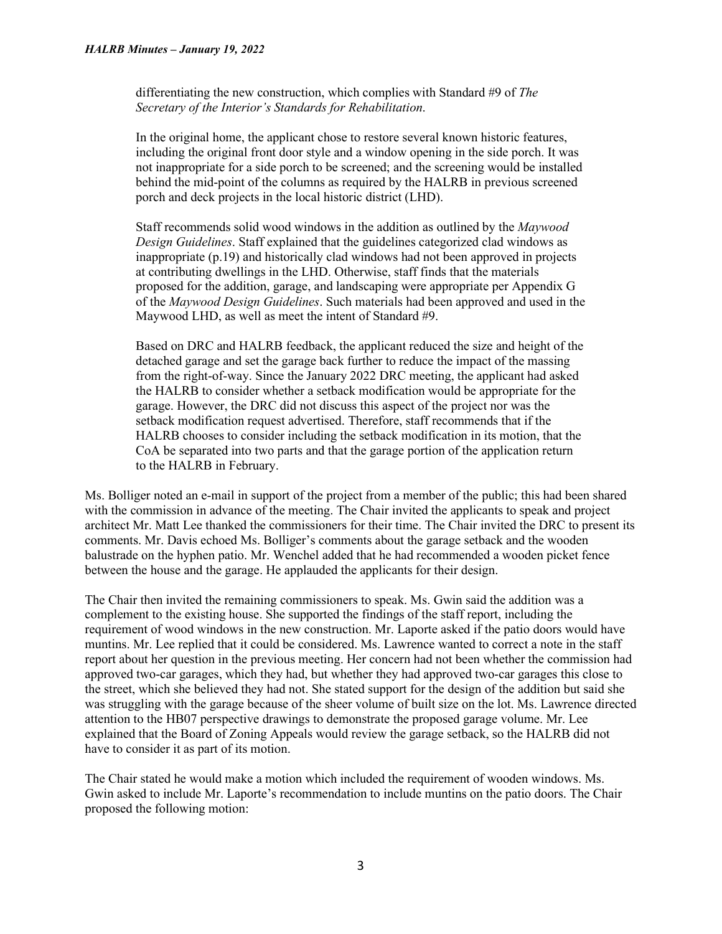differentiating the new construction, which complies with Standard #9 of *The Secretary of the Interior's Standards for Rehabilitation*.

In the original home, the applicant chose to restore several known historic features, including the original front door style and a window opening in the side porch. It was not inappropriate for a side porch to be screened; and the screening would be installed behind the mid-point of the columns as required by the HALRB in previous screened porch and deck projects in the local historic district (LHD).

Staff recommends solid wood windows in the addition as outlined by the *Maywood Design Guidelines*. Staff explained that the guidelines categorized clad windows as inappropriate (p.19) and historically clad windows had not been approved in projects at contributing dwellings in the LHD. Otherwise, staff finds that the materials proposed for the addition, garage, and landscaping were appropriate per Appendix G of the *Maywood Design Guidelines*. Such materials had been approved and used in the Maywood LHD, as well as meet the intent of Standard #9.

Based on DRC and HALRB feedback, the applicant reduced the size and height of the detached garage and set the garage back further to reduce the impact of the massing from the right-of-way. Since the January 2022 DRC meeting, the applicant had asked the HALRB to consider whether a setback modification would be appropriate for the garage. However, the DRC did not discuss this aspect of the project nor was the setback modification request advertised. Therefore, staff recommends that if the HALRB chooses to consider including the setback modification in its motion, that the CoA be separated into two parts and that the garage portion of the application return to the HALRB in February.

Ms. Bolliger noted an e-mail in support of the project from a member of the public; this had been shared with the commission in advance of the meeting. The Chair invited the applicants to speak and project architect Mr. Matt Lee thanked the commissioners for their time. The Chair invited the DRC to present its comments. Mr. Davis echoed Ms. Bolliger's comments about the garage setback and the wooden balustrade on the hyphen patio. Mr. Wenchel added that he had recommended a wooden picket fence between the house and the garage. He applauded the applicants for their design.

The Chair then invited the remaining commissioners to speak. Ms. Gwin said the addition was a complement to the existing house. She supported the findings of the staff report, including the requirement of wood windows in the new construction. Mr. Laporte asked if the patio doors would have muntins. Mr. Lee replied that it could be considered. Ms. Lawrence wanted to correct a note in the staff report about her question in the previous meeting. Her concern had not been whether the commission had approved two-car garages, which they had, but whether they had approved two-car garages this close to the street, which she believed they had not. She stated support for the design of the addition but said she was struggling with the garage because of the sheer volume of built size on the lot. Ms. Lawrence directed attention to the HB07 perspective drawings to demonstrate the proposed garage volume. Mr. Lee explained that the Board of Zoning Appeals would review the garage setback, so the HALRB did not have to consider it as part of its motion.

The Chair stated he would make a motion which included the requirement of wooden windows. Ms. Gwin asked to include Mr. Laporte's recommendation to include muntins on the patio doors. The Chair proposed the following motion: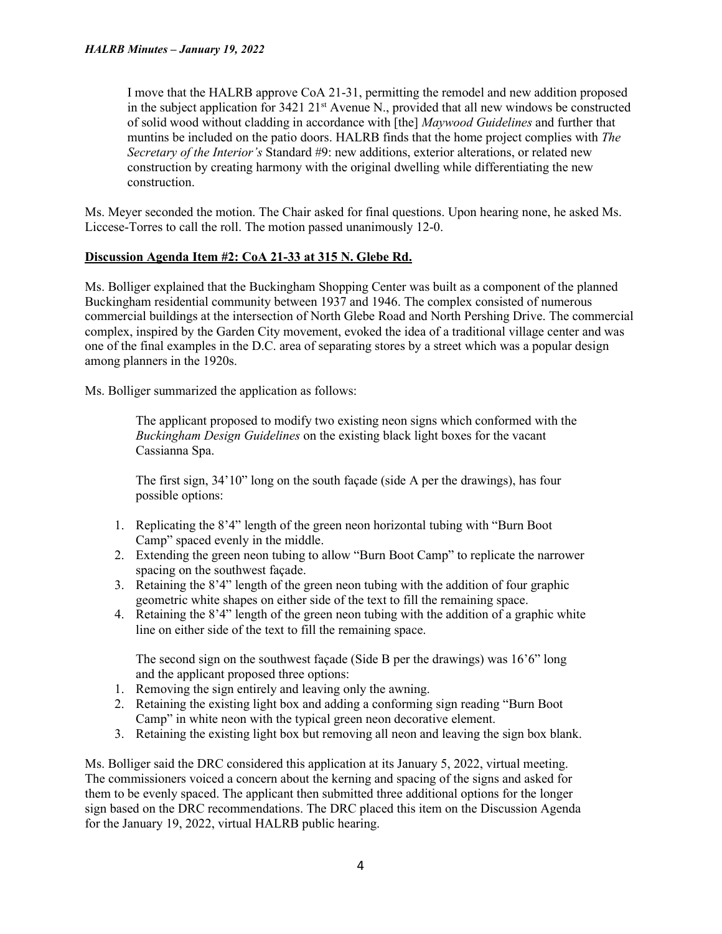I move that the HALRB approve CoA 21-31, permitting the remodel and new addition proposed in the subject application for  $3421 \ 21<sup>st</sup>$  Avenue N., provided that all new windows be constructed of solid wood without cladding in accordance with [the] *Maywood Guidelines* and further that muntins be included on the patio doors. HALRB finds that the home project complies with *The Secretary of the Interior's* Standard #9: new additions, exterior alterations, or related new construction by creating harmony with the original dwelling while differentiating the new construction.

Ms. Meyer seconded the motion. The Chair asked for final questions. Upon hearing none, he asked Ms. Liccese-Torres to call the roll. The motion passed unanimously 12-0.

# **Discussion Agenda Item #2: CoA 21-33 at 315 N. Glebe Rd.**

Ms. Bolliger explained that the Buckingham Shopping Center was built as a component of the planned Buckingham residential community between 1937 and 1946. The complex consisted of numerous commercial buildings at the intersection of North Glebe Road and North Pershing Drive. The commercial complex, inspired by the Garden City movement, evoked the idea of a traditional village center and was one of the final examples in the D.C. area of separating stores by a street which was a popular design among planners in the 1920s.

Ms. Bolliger summarized the application as follows:

The applicant proposed to modify two existing neon signs which conformed with the *Buckingham Design Guidelines* on the existing black light boxes for the vacant Cassianna Spa.

The first sign, 34'10" long on the south façade (side A per the drawings), has four possible options:

- 1. Replicating the 8'4" length of the green neon horizontal tubing with "Burn Boot Camp" spaced evenly in the middle.
- 2. Extending the green neon tubing to allow "Burn Boot Camp" to replicate the narrower spacing on the southwest façade.
- 3. Retaining the 8'4" length of the green neon tubing with the addition of four graphic geometric white shapes on either side of the text to fill the remaining space.
- 4. Retaining the 8'4" length of the green neon tubing with the addition of a graphic white line on either side of the text to fill the remaining space.

The second sign on the southwest facade (Side B per the drawings) was  $16'6''$  long and the applicant proposed three options:

- 1. Removing the sign entirely and leaving only the awning.
- 2. Retaining the existing light box and adding a conforming sign reading "Burn Boot Camp" in white neon with the typical green neon decorative element.
- 3. Retaining the existing light box but removing all neon and leaving the sign box blank.

Ms. Bolliger said the DRC considered this application at its January 5, 2022, virtual meeting. The commissioners voiced a concern about the kerning and spacing of the signs and asked for them to be evenly spaced. The applicant then submitted three additional options for the longer sign based on the DRC recommendations. The DRC placed this item on the Discussion Agenda for the January 19, 2022, virtual HALRB public hearing.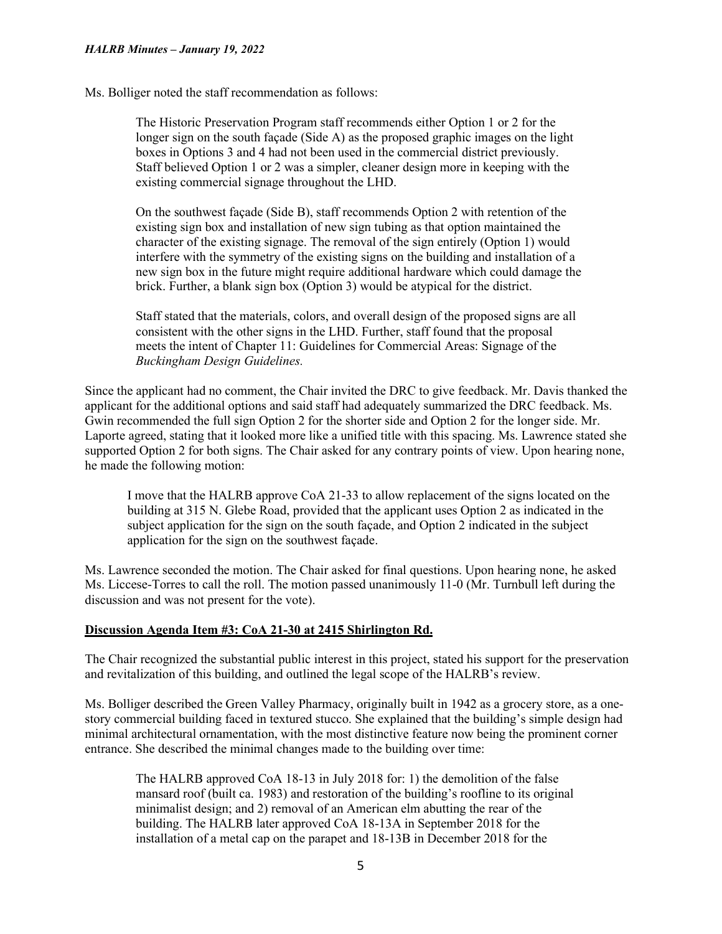Ms. Bolliger noted the staff recommendation as follows:

The Historic Preservation Program staff recommends either Option 1 or 2 for the longer sign on the south façade (Side A) as the proposed graphic images on the light boxes in Options 3 and 4 had not been used in the commercial district previously. Staff believed Option 1 or 2 was a simpler, cleaner design more in keeping with the existing commercial signage throughout the LHD.

On the southwest façade (Side B), staff recommends Option 2 with retention of the existing sign box and installation of new sign tubing as that option maintained the character of the existing signage. The removal of the sign entirely (Option 1) would interfere with the symmetry of the existing signs on the building and installation of a new sign box in the future might require additional hardware which could damage the brick. Further, a blank sign box (Option 3) would be atypical for the district.

Staff stated that the materials, colors, and overall design of the proposed signs are all consistent with the other signs in the LHD. Further, staff found that the proposal meets the intent of Chapter 11: Guidelines for Commercial Areas: Signage of the *Buckingham Design Guidelines.*

Since the applicant had no comment, the Chair invited the DRC to give feedback. Mr. Davis thanked the applicant for the additional options and said staff had adequately summarized the DRC feedback. Ms. Gwin recommended the full sign Option 2 for the shorter side and Option 2 for the longer side. Mr. Laporte agreed, stating that it looked more like a unified title with this spacing. Ms. Lawrence stated she supported Option 2 for both signs. The Chair asked for any contrary points of view. Upon hearing none, he made the following motion:

I move that the HALRB approve CoA 21-33 to allow replacement of the signs located on the building at 315 N. Glebe Road, provided that the applicant uses Option 2 as indicated in the subject application for the sign on the south façade, and Option 2 indicated in the subject application for the sign on the southwest façade.

Ms. Lawrence seconded the motion. The Chair asked for final questions. Upon hearing none, he asked Ms. Liccese-Torres to call the roll. The motion passed unanimously 11-0 (Mr. Turnbull left during the discussion and was not present for the vote).

# **Discussion Agenda Item #3: CoA 21-30 at 2415 Shirlington Rd.**

The Chair recognized the substantial public interest in this project, stated his support for the preservation and revitalization of this building, and outlined the legal scope of the HALRB's review.

Ms. Bolliger described the Green Valley Pharmacy, originally built in 1942 as a grocery store, as a onestory commercial building faced in textured stucco. She explained that the building's simple design had minimal architectural ornamentation, with the most distinctive feature now being the prominent corner entrance. She described the minimal changes made to the building over time:

The HALRB approved CoA 18-13 in July 2018 for: 1) the demolition of the false mansard roof (built ca. 1983) and restoration of the building's roofline to its original minimalist design; and 2) removal of an American elm abutting the rear of the building. The HALRB later approved CoA 18-13A in September 2018 for the installation of a metal cap on the parapet and 18-13B in December 2018 for the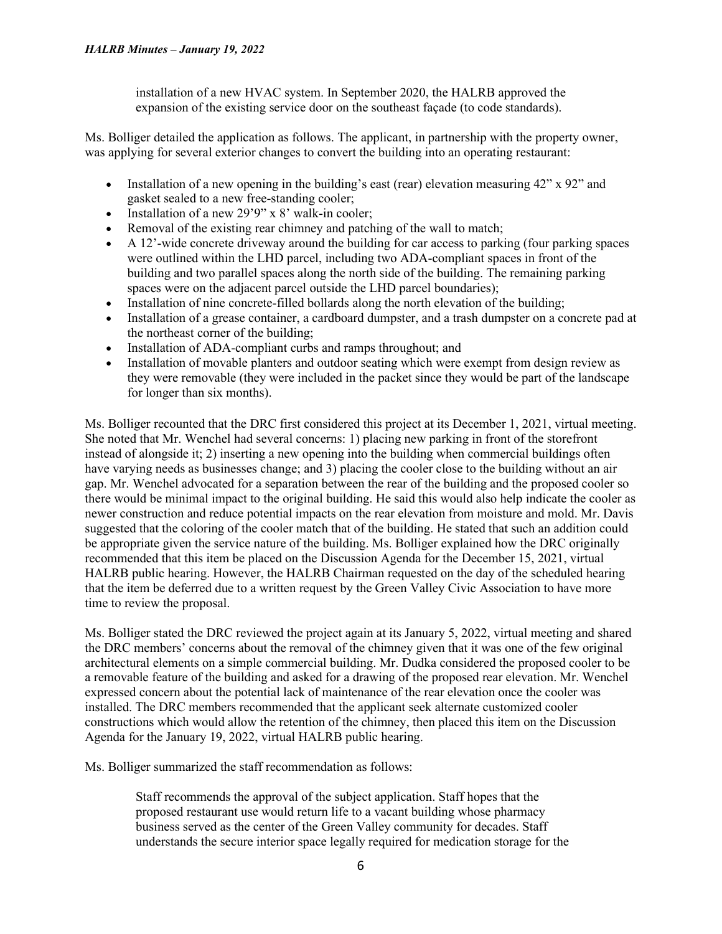installation of a new HVAC system. In September 2020, the HALRB approved the expansion of the existing service door on the southeast façade (to code standards).

Ms. Bolliger detailed the application as follows. The applicant, in partnership with the property owner, was applying for several exterior changes to convert the building into an operating restaurant:

- Installation of a new opening in the building's east (rear) elevation measuring  $42$ " x  $92$ " and gasket sealed to a new free-standing cooler;
- Installation of a new 29'9" x 8' walk-in cooler;
- Removal of the existing rear chimney and patching of the wall to match;
- $\bullet$  A 12'-wide concrete driveway around the building for car access to parking (four parking spaces were outlined within the LHD parcel, including two ADA-compliant spaces in front of the building and two parallel spaces along the north side of the building. The remaining parking spaces were on the adjacent parcel outside the LHD parcel boundaries);
- Installation of nine concrete-filled bollards along the north elevation of the building;
- Installation of a grease container, a cardboard dumpster, and a trash dumpster on a concrete pad at the northeast corner of the building;
- Installation of ADA-compliant curbs and ramps throughout; and
- Installation of movable planters and outdoor seating which were exempt from design review as they were removable (they were included in the packet since they would be part of the landscape for longer than six months).

Ms. Bolliger recounted that the DRC first considered this project at its December 1, 2021, virtual meeting. She noted that Mr. Wenchel had several concerns: 1) placing new parking in front of the storefront instead of alongside it; 2) inserting a new opening into the building when commercial buildings often have varying needs as businesses change; and 3) placing the cooler close to the building without an air gap. Mr. Wenchel advocated for a separation between the rear of the building and the proposed cooler so there would be minimal impact to the original building. He said this would also help indicate the cooler as newer construction and reduce potential impacts on the rear elevation from moisture and mold. Mr. Davis suggested that the coloring of the cooler match that of the building. He stated that such an addition could be appropriate given the service nature of the building. Ms. Bolliger explained how the DRC originally recommended that this item be placed on the Discussion Agenda for the December 15, 2021, virtual HALRB public hearing. However, the HALRB Chairman requested on the day of the scheduled hearing that the item be deferred due to a written request by the Green Valley Civic Association to have more time to review the proposal.

Ms. Bolliger stated the DRC reviewed the project again at its January 5, 2022, virtual meeting and shared the DRC members' concerns about the removal of the chimney given that it was one of the few original architectural elements on a simple commercial building. Mr. Dudka considered the proposed cooler to be a removable feature of the building and asked for a drawing of the proposed rear elevation. Mr. Wenchel expressed concern about the potential lack of maintenance of the rear elevation once the cooler was installed. The DRC members recommended that the applicant seek alternate customized cooler constructions which would allow the retention of the chimney, then placed this item on the Discussion Agenda for the January 19, 2022, virtual HALRB public hearing.

Ms. Bolliger summarized the staff recommendation as follows:

Staff recommends the approval of the subject application. Staff hopes that the proposed restaurant use would return life to a vacant building whose pharmacy business served as the center of the Green Valley community for decades. Staff understands the secure interior space legally required for medication storage for the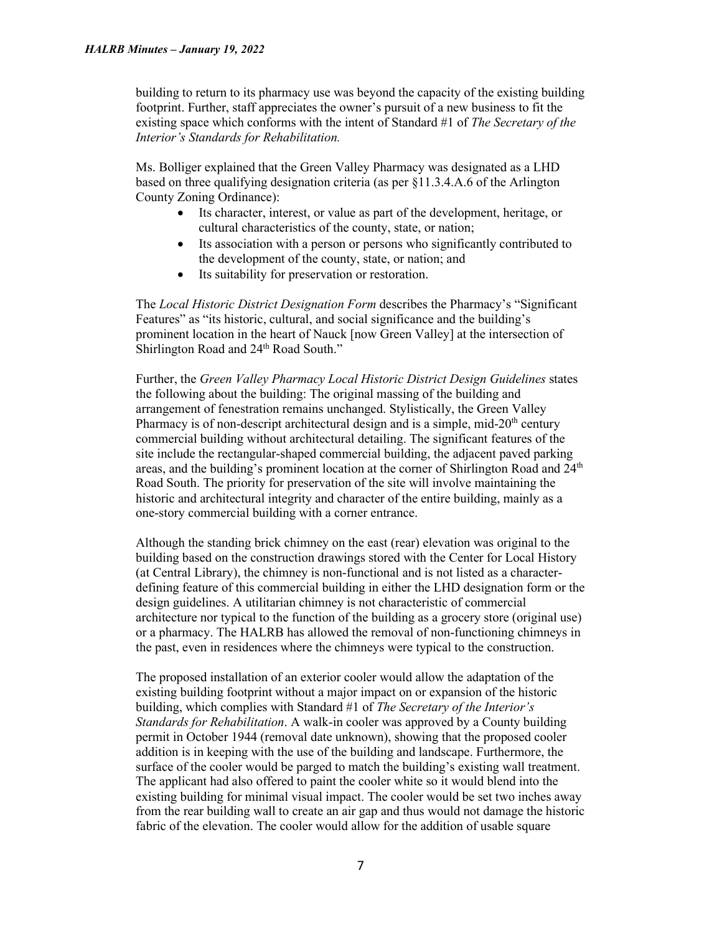building to return to its pharmacy use was beyond the capacity of the existing building footprint. Further, staff appreciates the owner's pursuit of a new business to fit the existing space which conforms with the intent of Standard #1 of *The Secretary of the Interior's Standards for Rehabilitation.*

Ms. Bolliger explained that the Green Valley Pharmacy was designated as a LHD based on three qualifying designation criteria (as per §11.3.4.A.6 of the Arlington County Zoning Ordinance):

- Its character, interest, or value as part of the development, heritage, or cultural characteristics of the county, state, or nation;
- Its association with a person or persons who significantly contributed to the development of the county, state, or nation; and
- Its suitability for preservation or restoration.

The *Local Historic District Designation Form* describes the Pharmacy's "Significant Features" as "its historic, cultural, and social significance and the building's prominent location in the heart of Nauck [now Green Valley] at the intersection of Shirlington Road and 24<sup>th</sup> Road South."

Further, the *Green Valley Pharmacy Local Historic District Design Guidelines* states the following about the building: The original massing of the building and arrangement of fenestration remains unchanged. Stylistically, the Green Valley Pharmacy is of non-descript architectural design and is a simple, mid- $20<sup>th</sup>$  century commercial building without architectural detailing. The significant features of the site include the rectangular-shaped commercial building, the adjacent paved parking areas, and the building's prominent location at the corner of Shirlington Road and  $24<sup>th</sup>$ Road South. The priority for preservation of the site will involve maintaining the historic and architectural integrity and character of the entire building, mainly as a one-story commercial building with a corner entrance.

Although the standing brick chimney on the east (rear) elevation was original to the building based on the construction drawings stored with the Center for Local History (at Central Library), the chimney is non-functional and is not listed as a characterdefining feature of this commercial building in either the LHD designation form or the design guidelines. A utilitarian chimney is not characteristic of commercial architecture nor typical to the function of the building as a grocery store (original use) or a pharmacy. The HALRB has allowed the removal of non-functioning chimneys in the past, even in residences where the chimneys were typical to the construction.

The proposed installation of an exterior cooler would allow the adaptation of the existing building footprint without a major impact on or expansion of the historic building, which complies with Standard #1 of *The Secretary of the Interior's Standards for Rehabilitation*. A walk-in cooler was approved by a County building permit in October 1944 (removal date unknown), showing that the proposed cooler addition is in keeping with the use of the building and landscape. Furthermore, the surface of the cooler would be parged to match the building's existing wall treatment. The applicant had also offered to paint the cooler white so it would blend into the existing building for minimal visual impact. The cooler would be set two inches away from the rear building wall to create an air gap and thus would not damage the historic fabric of the elevation. The cooler would allow for the addition of usable square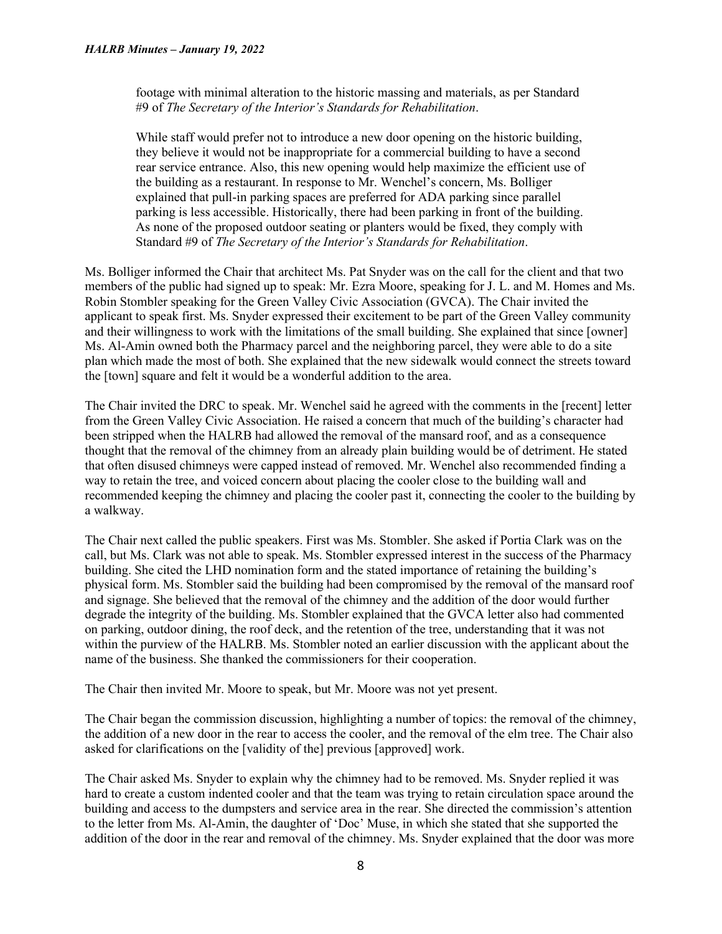footage with minimal alteration to the historic massing and materials, as per Standard #9 of *The Secretary of the Interior's Standards for Rehabilitation*.

While staff would prefer not to introduce a new door opening on the historic building, they believe it would not be inappropriate for a commercial building to have a second rear service entrance. Also, this new opening would help maximize the efficient use of the building as a restaurant. In response to Mr. Wenchel's concern, Ms. Bolliger explained that pull-in parking spaces are preferred for ADA parking since parallel parking is less accessible. Historically, there had been parking in front of the building. As none of the proposed outdoor seating or planters would be fixed, they comply with Standard #9 of *The Secretary of the Interior's Standards for Rehabilitation*.

Ms. Bolliger informed the Chair that architect Ms. Pat Snyder was on the call for the client and that two members of the public had signed up to speak: Mr. Ezra Moore, speaking for J. L. and M. Homes and Ms. Robin Stombler speaking for the Green Valley Civic Association (GVCA). The Chair invited the applicant to speak first. Ms. Snyder expressed their excitement to be part of the Green Valley community and their willingness to work with the limitations of the small building. She explained that since [owner] Ms. Al-Amin owned both the Pharmacy parcel and the neighboring parcel, they were able to do a site plan which made the most of both. She explained that the new sidewalk would connect the streets toward the [town] square and felt it would be a wonderful addition to the area.

The Chair invited the DRC to speak. Mr. Wenchel said he agreed with the comments in the [recent] letter from the Green Valley Civic Association. He raised a concern that much of the building's character had been stripped when the HALRB had allowed the removal of the mansard roof, and as a consequence thought that the removal of the chimney from an already plain building would be of detriment. He stated that often disused chimneys were capped instead of removed. Mr. Wenchel also recommended finding a way to retain the tree, and voiced concern about placing the cooler close to the building wall and recommended keeping the chimney and placing the cooler past it, connecting the cooler to the building by a walkway.

The Chair next called the public speakers. First was Ms. Stombler. She asked if Portia Clark was on the call, but Ms. Clark was not able to speak. Ms. Stombler expressed interest in the success of the Pharmacy building. She cited the LHD nomination form and the stated importance of retaining the building's physical form. Ms. Stombler said the building had been compromised by the removal of the mansard roof and signage. She believed that the removal of the chimney and the addition of the door would further degrade the integrity of the building. Ms. Stombler explained that the GVCA letter also had commented on parking, outdoor dining, the roof deck, and the retention of the tree, understanding that it was not within the purview of the HALRB. Ms. Stombler noted an earlier discussion with the applicant about the name of the business. She thanked the commissioners for their cooperation.

The Chair then invited Mr. Moore to speak, but Mr. Moore was not yet present.

The Chair began the commission discussion, highlighting a number of topics: the removal of the chimney, the addition of a new door in the rear to access the cooler, and the removal of the elm tree. The Chair also asked for clarifications on the [validity of the] previous [approved] work.

The Chair asked Ms. Snyder to explain why the chimney had to be removed. Ms. Snyder replied it was hard to create a custom indented cooler and that the team was trying to retain circulation space around the building and access to the dumpsters and service area in the rear. She directed the commission's attention to the letter from Ms. Al-Amin, the daughter of 'Doc' Muse, in which she stated that she supported the addition of the door in the rear and removal of the chimney. Ms. Snyder explained that the door was more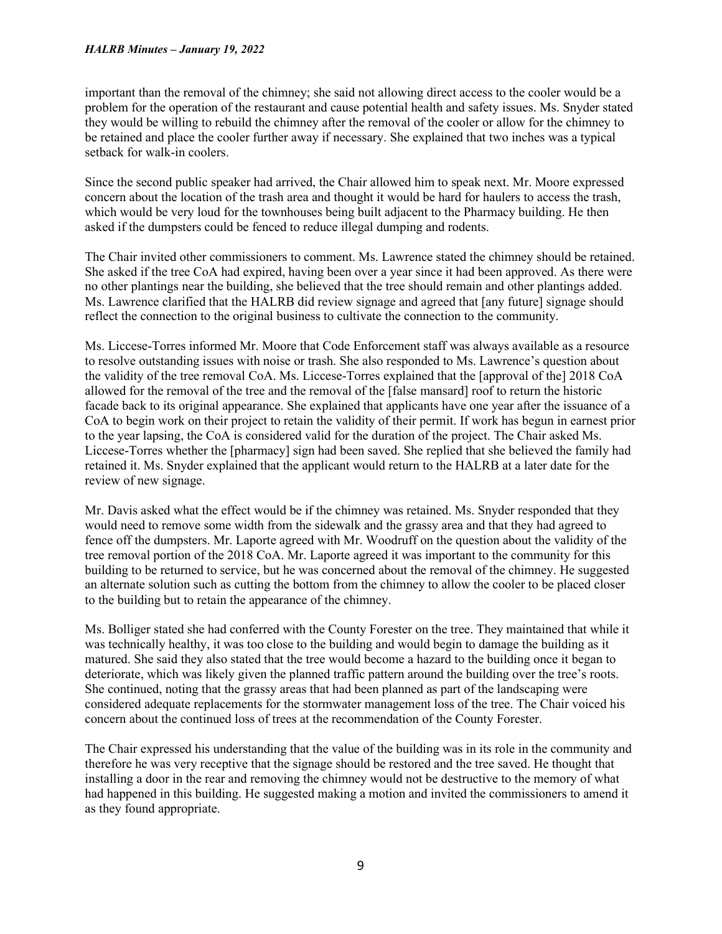#### *HALRB Minutes – January 19, 2022*

important than the removal of the chimney; she said not allowing direct access to the cooler would be a problem for the operation of the restaurant and cause potential health and safety issues. Ms. Snyder stated they would be willing to rebuild the chimney after the removal of the cooler or allow for the chimney to be retained and place the cooler further away if necessary. She explained that two inches was a typical setback for walk-in coolers.

Since the second public speaker had arrived, the Chair allowed him to speak next. Mr. Moore expressed concern about the location of the trash area and thought it would be hard for haulers to access the trash, which would be very loud for the townhouses being built adjacent to the Pharmacy building. He then asked if the dumpsters could be fenced to reduce illegal dumping and rodents.

The Chair invited other commissioners to comment. Ms. Lawrence stated the chimney should be retained. She asked if the tree CoA had expired, having been over a year since it had been approved. As there were no other plantings near the building, she believed that the tree should remain and other plantings added. Ms. Lawrence clarified that the HALRB did review signage and agreed that [any future] signage should reflect the connection to the original business to cultivate the connection to the community.

Ms. Liccese-Torres informed Mr. Moore that Code Enforcement staff was always available as a resource to resolve outstanding issues with noise or trash. She also responded to Ms. Lawrence's question about the validity of the tree removal CoA. Ms. Liccese-Torres explained that the [approval of the] 2018 CoA allowed for the removal of the tree and the removal of the [false mansard] roof to return the historic facade back to its original appearance. She explained that applicants have one year after the issuance of a CoA to begin work on their project to retain the validity of their permit. If work has begun in earnest prior to the year lapsing, the CoA is considered valid for the duration of the project. The Chair asked Ms. Liccese-Torres whether the [pharmacy] sign had been saved. She replied that she believed the family had retained it. Ms. Snyder explained that the applicant would return to the HALRB at a later date for the review of new signage.

Mr. Davis asked what the effect would be if the chimney was retained. Ms. Snyder responded that they would need to remove some width from the sidewalk and the grassy area and that they had agreed to fence off the dumpsters. Mr. Laporte agreed with Mr. Woodruff on the question about the validity of the tree removal portion of the 2018 CoA. Mr. Laporte agreed it was important to the community for this building to be returned to service, but he was concerned about the removal of the chimney. He suggested an alternate solution such as cutting the bottom from the chimney to allow the cooler to be placed closer to the building but to retain the appearance of the chimney.

Ms. Bolliger stated she had conferred with the County Forester on the tree. They maintained that while it was technically healthy, it was too close to the building and would begin to damage the building as it matured. She said they also stated that the tree would become a hazard to the building once it began to deteriorate, which was likely given the planned traffic pattern around the building over the tree's roots. She continued, noting that the grassy areas that had been planned as part of the landscaping were considered adequate replacements for the stormwater management loss of the tree. The Chair voiced his concern about the continued loss of trees at the recommendation of the County Forester.

The Chair expressed his understanding that the value of the building was in its role in the community and therefore he was very receptive that the signage should be restored and the tree saved. He thought that installing a door in the rear and removing the chimney would not be destructive to the memory of what had happened in this building. He suggested making a motion and invited the commissioners to amend it as they found appropriate.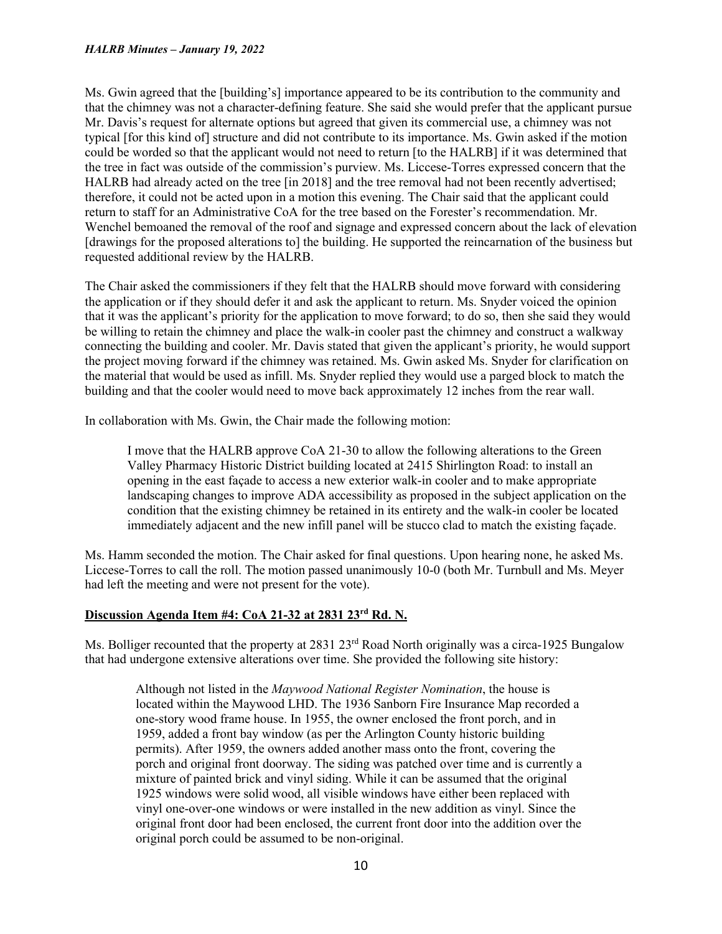Ms. Gwin agreed that the [building's] importance appeared to be its contribution to the community and that the chimney was not a character-defining feature. She said she would prefer that the applicant pursue Mr. Davis's request for alternate options but agreed that given its commercial use, a chimney was not typical [for this kind of] structure and did not contribute to its importance. Ms. Gwin asked if the motion could be worded so that the applicant would not need to return [to the HALRB] if it was determined that the tree in fact was outside of the commission's purview. Ms. Liccese-Torres expressed concern that the HALRB had already acted on the tree [in 2018] and the tree removal had not been recently advertised; therefore, it could not be acted upon in a motion this evening. The Chair said that the applicant could return to staff for an Administrative CoA for the tree based on the Forester's recommendation. Mr. Wenchel bemoaned the removal of the roof and signage and expressed concern about the lack of elevation [drawings for the proposed alterations to] the building. He supported the reincarnation of the business but requested additional review by the HALRB.

The Chair asked the commissioners if they felt that the HALRB should move forward with considering the application or if they should defer it and ask the applicant to return. Ms. Snyder voiced the opinion that it was the applicant's priority for the application to move forward; to do so, then she said they would be willing to retain the chimney and place the walk-in cooler past the chimney and construct a walkway connecting the building and cooler. Mr. Davis stated that given the applicant's priority, he would support the project moving forward if the chimney was retained. Ms. Gwin asked Ms. Snyder for clarification on the material that would be used as infill. Ms. Snyder replied they would use a parged block to match the building and that the cooler would need to move back approximately 12 inches from the rear wall.

In collaboration with Ms. Gwin, the Chair made the following motion:

I move that the HALRB approve CoA 21-30 to allow the following alterations to the Green Valley Pharmacy Historic District building located at 2415 Shirlington Road: to install an opening in the east façade to access a new exterior walk-in cooler and to make appropriate landscaping changes to improve ADA accessibility as proposed in the subject application on the condition that the existing chimney be retained in its entirety and the walk-in cooler be located immediately adjacent and the new infill panel will be stucco clad to match the existing façade.

Ms. Hamm seconded the motion. The Chair asked for final questions. Upon hearing none, he asked Ms. Liccese-Torres to call the roll. The motion passed unanimously 10-0 (both Mr. Turnbull and Ms. Meyer had left the meeting and were not present for the vote).

# **Discussion Agenda Item #4: CoA 21-32 at 2831 23rd Rd. N.**

Ms. Bolliger recounted that the property at 2831 23<sup>rd</sup> Road North originally was a circa-1925 Bungalow that had undergone extensive alterations over time. She provided the following site history:

Although not listed in the *Maywood National Register Nomination*, the house is located within the Maywood LHD. The 1936 Sanborn Fire Insurance Map recorded a one-story wood frame house. In 1955, the owner enclosed the front porch, and in 1959, added a front bay window (as per the Arlington County historic building permits). After 1959, the owners added another mass onto the front, covering the porch and original front doorway. The siding was patched over time and is currently a mixture of painted brick and vinyl siding. While it can be assumed that the original 1925 windows were solid wood, all visible windows have either been replaced with vinyl one-over-one windows or were installed in the new addition as vinyl. Since the original front door had been enclosed, the current front door into the addition over the original porch could be assumed to be non-original.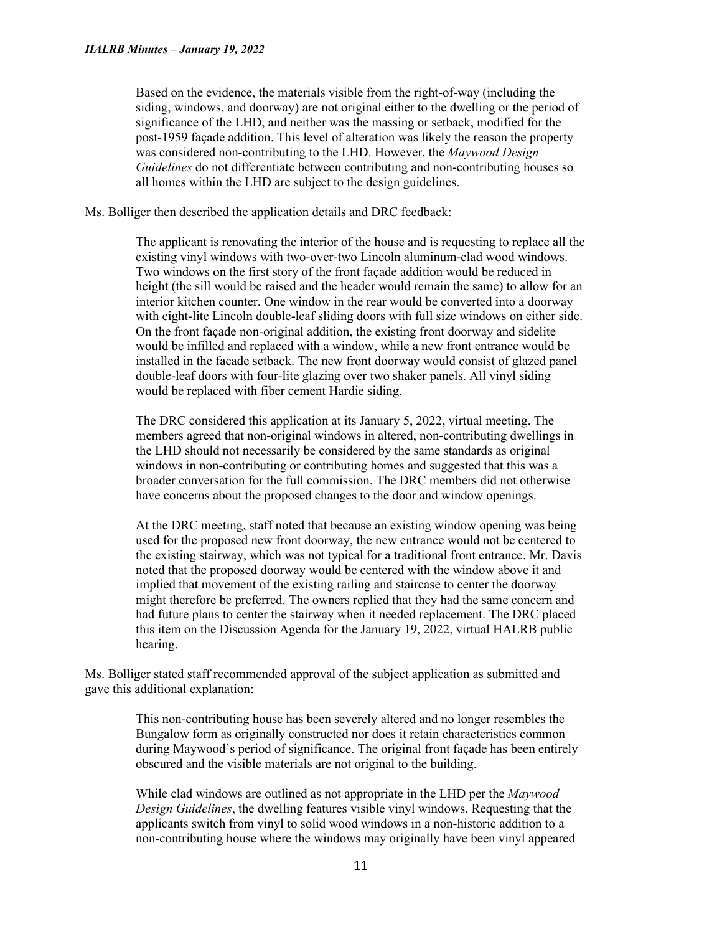Based on the evidence, the materials visible from the right-of-way (including the siding, windows, and doorway) are not original either to the dwelling or the period of significance of the LHD, and neither was the massing or setback, modified for the post-1959 façade addition. This level of alteration was likely the reason the property was considered non-contributing to the LHD. However, the *Maywood Design Guidelines* do not differentiate between contributing and non-contributing houses so all homes within the LHD are subject to the design guidelines.

Ms. Bolliger then described the application details and DRC feedback:

The applicant is renovating the interior of the house and is requesting to replace all the existing vinyl windows with two-over-two Lincoln aluminum-clad wood windows. Two windows on the first story of the front façade addition would be reduced in height (the sill would be raised and the header would remain the same) to allow for an interior kitchen counter. One window in the rear would be converted into a doorway with eight-lite Lincoln double-leaf sliding doors with full size windows on either side. On the front façade non-original addition, the existing front doorway and sidelite would be infilled and replaced with a window, while a new front entrance would be installed in the facade setback. The new front doorway would consist of glazed panel double-leaf doors with four-lite glazing over two shaker panels. All vinyl siding would be replaced with fiber cement Hardie siding.

The DRC considered this application at its January 5, 2022, virtual meeting. The members agreed that non-original windows in altered, non-contributing dwellings in the LHD should not necessarily be considered by the same standards as original windows in non-contributing or contributing homes and suggested that this was a broader conversation for the full commission. The DRC members did not otherwise have concerns about the proposed changes to the door and window openings.

At the DRC meeting, staff noted that because an existing window opening was being used for the proposed new front doorway, the new entrance would not be centered to the existing stairway, which was not typical for a traditional front entrance. Mr. Davis noted that the proposed doorway would be centered with the window above it and implied that movement of the existing railing and staircase to center the doorway might therefore be preferred. The owners replied that they had the same concern and had future plans to center the stairway when it needed replacement. The DRC placed this item on the Discussion Agenda for the January 19, 2022, virtual HALRB public hearing.

Ms. Bolliger stated staff recommended approval of the subject application as submitted and gave this additional explanation:

> This non-contributing house has been severely altered and no longer resembles the Bungalow form as originally constructed nor does it retain characteristics common during Maywood's period of significance. The original front façade has been entirely obscured and the visible materials are not original to the building.

> While clad windows are outlined as not appropriate in the LHD per the *Maywood Design Guidelines*, the dwelling features visible vinyl windows. Requesting that the applicants switch from vinyl to solid wood windows in a non-historic addition to a non-contributing house where the windows may originally have been vinyl appeared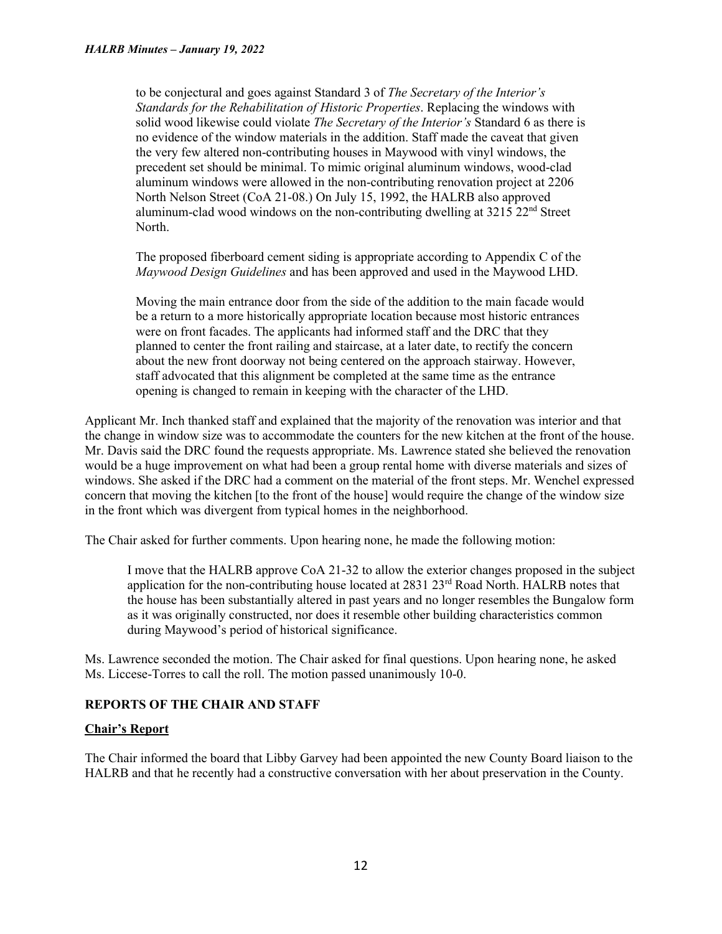to be conjectural and goes against Standard 3 of *The Secretary of the Interior's Standards for the Rehabilitation of Historic Properties*. Replacing the windows with solid wood likewise could violate *The Secretary of the Interior's* Standard 6 as there is no evidence of the window materials in the addition. Staff made the caveat that given the very few altered non-contributing houses in Maywood with vinyl windows, the precedent set should be minimal. To mimic original aluminum windows, wood-clad aluminum windows were allowed in the non-contributing renovation project at 2206 North Nelson Street (CoA 21-08.) On July 15, 1992, the HALRB also approved aluminum-clad wood windows on the non-contributing dwelling at  $3215$   $22<sup>nd</sup>$  Street North.

The proposed fiberboard cement siding is appropriate according to Appendix C of the *Maywood Design Guidelines* and has been approved and used in the Maywood LHD.

Moving the main entrance door from the side of the addition to the main facade would be a return to a more historically appropriate location because most historic entrances were on front facades. The applicants had informed staff and the DRC that they planned to center the front railing and staircase, at a later date, to rectify the concern about the new front doorway not being centered on the approach stairway. However, staff advocated that this alignment be completed at the same time as the entrance opening is changed to remain in keeping with the character of the LHD.

Applicant Mr. Inch thanked staff and explained that the majority of the renovation was interior and that the change in window size was to accommodate the counters for the new kitchen at the front of the house. Mr. Davis said the DRC found the requests appropriate. Ms. Lawrence stated she believed the renovation would be a huge improvement on what had been a group rental home with diverse materials and sizes of windows. She asked if the DRC had a comment on the material of the front steps. Mr. Wenchel expressed concern that moving the kitchen [to the front of the house] would require the change of the window size in the front which was divergent from typical homes in the neighborhood.

The Chair asked for further comments. Upon hearing none, he made the following motion:

I move that the HALRB approve CoA 21-32 to allow the exterior changes proposed in the subject application for the non-contributing house located at 2831 23<sup>rd</sup> Road North. HALRB notes that the house has been substantially altered in past years and no longer resembles the Bungalow form as it was originally constructed, nor does it resemble other building characteristics common during Maywood's period of historical significance.

Ms. Lawrence seconded the motion. The Chair asked for final questions. Upon hearing none, he asked Ms. Liccese-Torres to call the roll. The motion passed unanimously 10-0.

# **REPORTS OF THE CHAIR AND STAFF**

# **Chair's Report**

The Chair informed the board that Libby Garvey had been appointed the new County Board liaison to the HALRB and that he recently had a constructive conversation with her about preservation in the County.